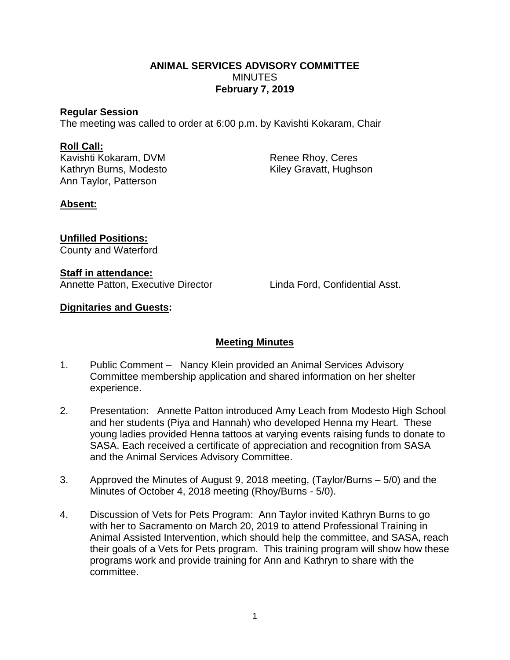### **ANIMAL SERVICES ADVISORY COMMITTEE MINUTES February 7, 2019**

### **Regular Session**

The meeting was called to order at 6:00 p.m. by Kavishti Kokaram, Chair

### **Roll Call:**

Kavishti Kokaram, DVM Renee Rhoy, Ceres Kathryn Burns, Modesto Kiley Gravatt, Hughson Ann Taylor, Patterson

## **Absent:**

# **Unfilled Positions:**

County and Waterford

### **Staff in attendance:**

Annette Patton, Executive Director Linda Ford, Confidential Asst.

## **Dignitaries and Guests:**

# **Meeting Minutes**

- 1. Public Comment Nancy Klein provided an Animal Services Advisory Committee membership application and shared information on her shelter experience.
- 2. Presentation: Annette Patton introduced Amy Leach from Modesto High School and her students (Piya and Hannah) who developed Henna my Heart. These young ladies provided Henna tattoos at varying events raising funds to donate to SASA. Each received a certificate of appreciation and recognition from SASA and the Animal Services Advisory Committee.
- 3. Approved the Minutes of August 9, 2018 meeting, (Taylor/Burns 5/0) and the Minutes of October 4, 2018 meeting (Rhoy/Burns - 5/0).
- 4. Discussion of Vets for Pets Program: Ann Taylor invited Kathryn Burns to go with her to Sacramento on March 20, 2019 to attend Professional Training in Animal Assisted Intervention, which should help the committee, and SASA, reach their goals of a Vets for Pets program. This training program will show how these programs work and provide training for Ann and Kathryn to share with the committee.